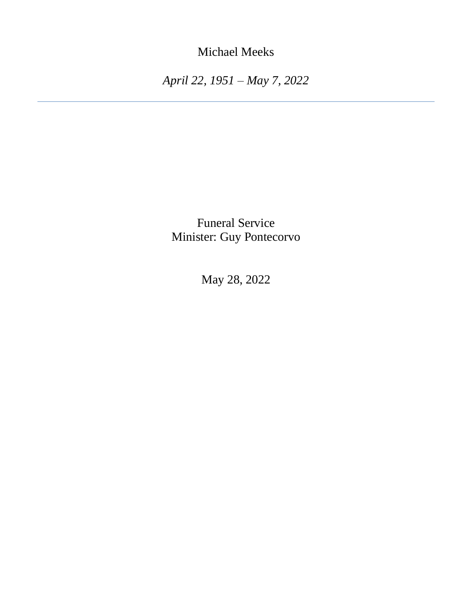Michael Meeks

*April 22, 1951 – May 7, 2022*

Funeral Service Minister: Guy Pontecorvo

May 28, 2022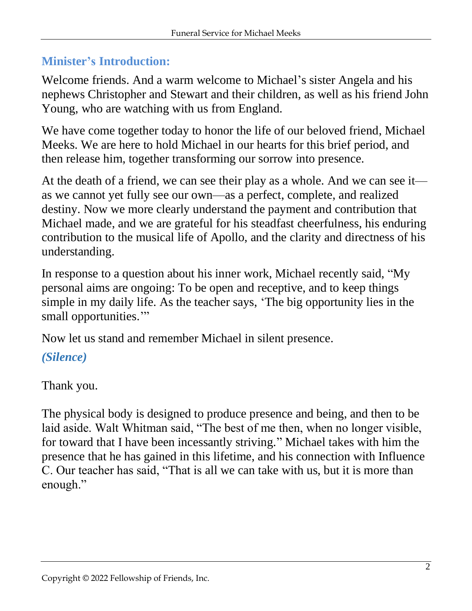### **Minister's Introduction:**

Welcome friends. And a warm welcome to Michael's sister Angela and his nephews Christopher and Stewart and their children, as well as his friend John Young, who are watching with us from England.

We have come together today to honor the life of our beloved friend, Michael Meeks. We are here to hold Michael in our hearts for this brief period, and then release him, together transforming our sorrow into presence.

At the death of a friend, we can see their play as a whole. And we can see it as we cannot yet fully see our own—as a perfect, complete, and realized destiny. Now we more clearly understand the payment and contribution that Michael made, and we are grateful for his steadfast cheerfulness, his enduring contribution to the musical life of Apollo, and the clarity and directness of his understanding.

In response to a question about his inner work, Michael recently said, "My personal aims are ongoing: To be open and receptive, and to keep things simple in my daily life. As the teacher says, 'The big opportunity lies in the small opportunities."

Now let us stand and remember Michael in silent presence.

# *(Silence)*

Thank you.

The physical body is designed to produce presence and being, and then to be laid aside. Walt Whitman said, "The best of me then, when no longer visible, for toward that I have been incessantly striving." Michael takes with him the presence that he has gained in this lifetime, and his connection with Influence C. Our teacher has said, "That is all we can take with us, but it is more than enough."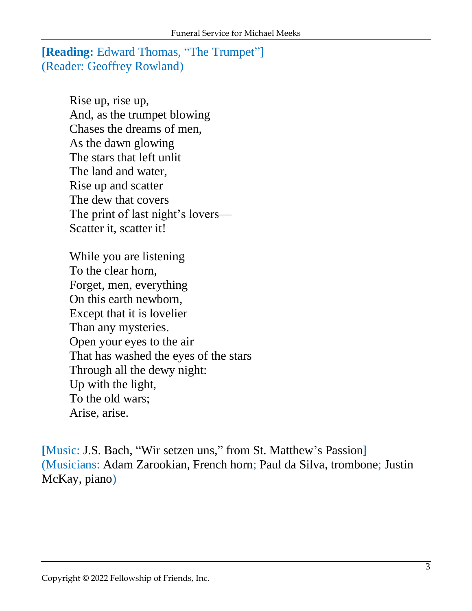#### **[Reading:** Edward Thomas, "The Trumpet"] (Reader: Geoffrey Rowland)

Rise up, rise up, And, as the trumpet blowing Chases the dreams of men, As the dawn glowing The stars that left unlit The land and water, Rise up and scatter The dew that covers The print of last night's lovers— Scatter it, scatter it!

While you are listening To the clear horn, Forget, men, everything On this earth newborn, Except that it is lovelier Than any mysteries. Open your eyes to the air That has washed the eyes of the stars Through all the dewy night: Up with the light, To the old wars; Arise, arise.

**[**Music: J.S. Bach, "Wir setzen uns," from St. Matthew's Passion**]** (Musicians: Adam Zarookian, French horn; Paul da Silva, trombone; Justin McKay, piano)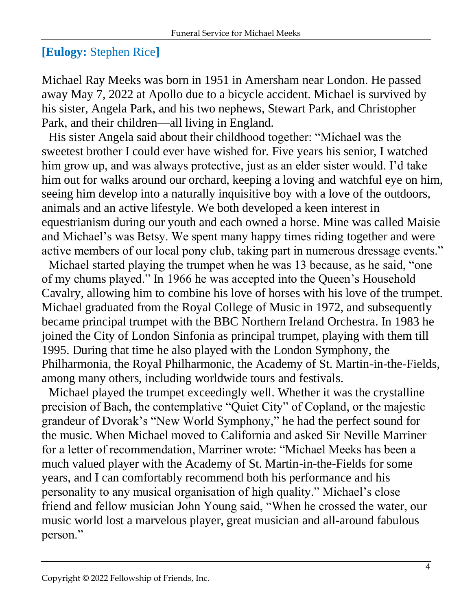# **[Eulogy:** Stephen Rice**]**

Michael Ray Meeks was born in 1951 in Amersham near London. He passed away May 7, 2022 at Apollo due to a bicycle accident. Michael is survived by his sister, Angela Park, and his two nephews, Stewart Park, and Christopher Park, and their children—all living in England.

His sister Angela said about their childhood together: "Michael was the sweetest brother I could ever have wished for. Five years his senior, I watched him grow up, and was always protective, just as an elder sister would. I'd take him out for walks around our orchard, keeping a loving and watchful eye on him, seeing him develop into a naturally inquisitive boy with a love of the outdoors, animals and an active lifestyle. We both developed a keen interest in equestrianism during our youth and each owned a horse. Mine was called Maisie and Michael's was Betsy. We spent many happy times riding together and were active members of our local pony club, taking part in numerous dressage events."

Michael started playing the trumpet when he was 13 because, as he said, "one of my chums played." In 1966 he was accepted into the Queen's Household Cavalry, allowing him to combine his love of horses with his love of the trumpet. Michael graduated from the Royal College of Music in 1972, and subsequently became principal trumpet with the BBC Northern Ireland Orchestra. In 1983 he joined the City of London Sinfonia as principal trumpet, playing with them till 1995. During that time he also played with the London Symphony, the Philharmonia, the Royal Philharmonic, the Academy of St. Martin-in-the-Fields, among many others, including worldwide tours and festivals.

Michael played the trumpet exceedingly well. Whether it was the crystalline precision of Bach, the contemplative "Quiet City" of Copland, or the majestic grandeur of Dvorak's "New World Symphony," he had the perfect sound for the music. When Michael moved to California and asked Sir Neville Marriner for a letter of recommendation, Marriner wrote: "Michael Meeks has been a much valued player with the Academy of St. Martin-in-the-Fields for some years, and I can comfortably recommend both his performance and his personality to any musical organisation of high quality." Michael's close friend and fellow musician John Young said, "When he crossed the water, our music world lost a marvelous player, great musician and all-around fabulous person."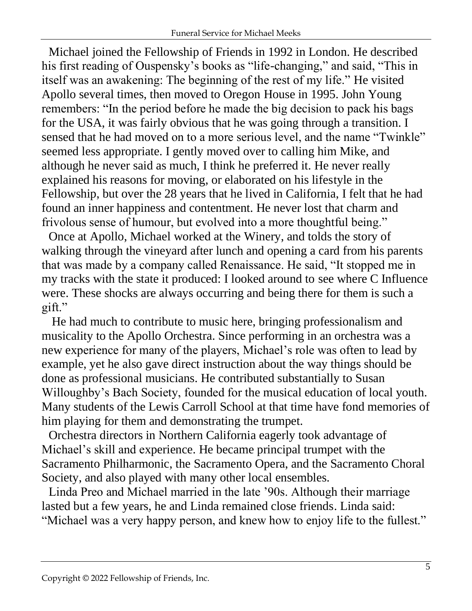Michael joined the Fellowship of Friends in 1992 in London. He described his first reading of Ouspensky's books as "life-changing," and said, "This in itself was an awakening: The beginning of the rest of my life." He visited Apollo several times, then moved to Oregon House in 1995. John Young remembers: "In the period before he made the big decision to pack his bags for the USA, it was fairly obvious that he was going through a transition. I sensed that he had moved on to a more serious level, and the name "Twinkle" seemed less appropriate. I gently moved over to calling him Mike, and although he never said as much, I think he preferred it. He never really explained his reasons for moving, or elaborated on his lifestyle in the Fellowship, but over the 28 years that he lived in California, I felt that he had found an inner happiness and contentment. He never lost that charm and frivolous sense of humour, but evolved into a more thoughtful being."

Once at Apollo, Michael worked at the Winery, and tolds the story of walking through the vineyard after lunch and opening a card from his parents that was made by a company called Renaissance. He said, "It stopped me in my tracks with the state it produced: I looked around to see where C Influence were. These shocks are always occurring and being there for them is such a gift."

He had much to contribute to music here, bringing professionalism and musicality to the Apollo Orchestra. Since performing in an orchestra was a new experience for many of the players, Michael's role was often to lead by example, yet he also gave direct instruction about the way things should be done as professional musicians. He contributed substantially to Susan Willoughby's Bach Society, founded for the musical education of local youth. Many students of the Lewis Carroll School at that time have fond memories of him playing for them and demonstrating the trumpet.

Orchestra directors in Northern California eagerly took advantage of Michael's skill and experience. He became principal trumpet with the Sacramento Philharmonic, the Sacramento Opera, and the Sacramento Choral Society, and also played with many other local ensembles.

Linda Preo and Michael married in the late '90s. Although their marriage lasted but a few years, he and Linda remained close friends. Linda said: "Michael was a very happy person, and knew how to enjoy life to the fullest."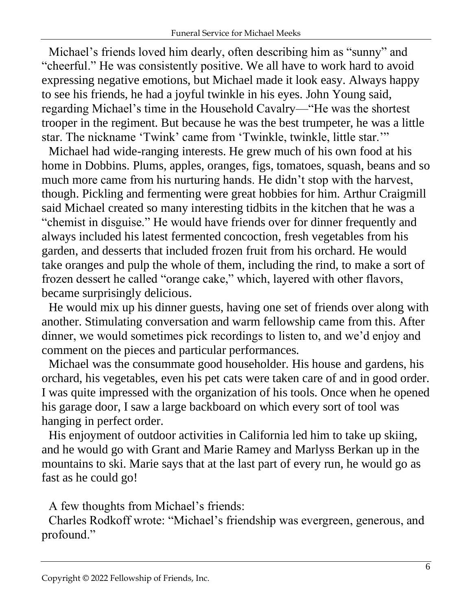Michael's friends loved him dearly, often describing him as "sunny" and "cheerful." He was consistently positive. We all have to work hard to avoid expressing negative emotions, but Michael made it look easy. Always happy to see his friends, he had a joyful twinkle in his eyes. John Young said, regarding Michael's time in the Household Cavalry—"He was the shortest trooper in the regiment. But because he was the best trumpeter, he was a little star. The nickname 'Twink' came from 'Twinkle, twinkle, little star.'"

Michael had wide-ranging interests. He grew much of his own food at his home in Dobbins. Plums, apples, oranges, figs, tomatoes, squash, beans and so much more came from his nurturing hands. He didn't stop with the harvest, though. Pickling and fermenting were great hobbies for him. Arthur Craigmill said Michael created so many interesting tidbits in the kitchen that he was a "chemist in disguise." He would have friends over for dinner frequently and always included his latest fermented concoction, fresh vegetables from his garden, and desserts that included frozen fruit from his orchard. He would take oranges and pulp the whole of them, including the rind, to make a sort of frozen dessert he called "orange cake," which, layered with other flavors, became surprisingly delicious.

He would mix up his dinner guests, having one set of friends over along with another. Stimulating conversation and warm fellowship came from this. After dinner, we would sometimes pick recordings to listen to, and we'd enjoy and comment on the pieces and particular performances.

Michael was the consummate good householder. His house and gardens, his orchard, his vegetables, even his pet cats were taken care of and in good order. I was quite impressed with the organization of his tools. Once when he opened his garage door, I saw a large backboard on which every sort of tool was hanging in perfect order.

His enjoyment of outdoor activities in California led him to take up skiing, and he would go with Grant and Marie Ramey and Marlyss Berkan up in the mountains to ski. Marie says that at the last part of every run, he would go as fast as he could go!

A few thoughts from Michael's friends:

Charles Rodkoff wrote: "Michael's friendship was evergreen, generous, and profound."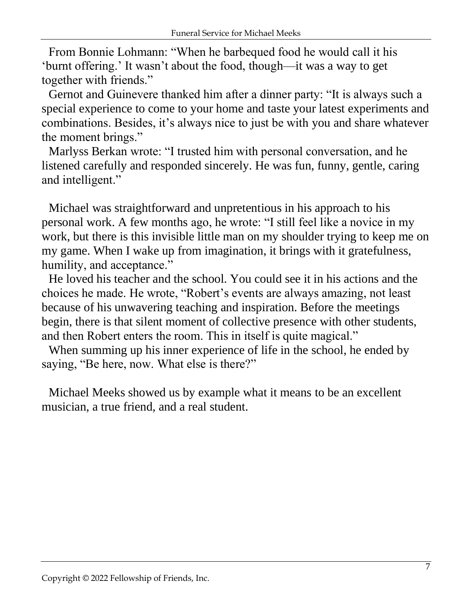From Bonnie Lohmann: "When he barbequed food he would call it his 'burnt offering.' It wasn't about the food, though—it was a way to get together with friends."

Gernot and Guinevere thanked him after a dinner party: "It is always such a special experience to come to your home and taste your latest experiments and combinations. Besides, it's always nice to just be with you and share whatever the moment brings."

Marlyss Berkan wrote: "I trusted him with personal conversation, and he listened carefully and responded sincerely. He was fun, funny, gentle, caring and intelligent."

Michael was straightforward and unpretentious in his approach to his personal work. A few months ago, he wrote: "I still feel like a novice in my work, but there is this invisible little man on my shoulder trying to keep me on my game. When I wake up from imagination, it brings with it gratefulness, humility, and acceptance."

He loved his teacher and the school. You could see it in his actions and the choices he made. He wrote, "Robert's events are always amazing, not least because of his unwavering teaching and inspiration. Before the meetings begin, there is that silent moment of collective presence with other students, and then Robert enters the room. This in itself is quite magical."

When summing up his inner experience of life in the school, he ended by saying, "Be here, now. What else is there?"

Michael Meeks showed us by example what it means to be an excellent musician, a true friend, and a real student.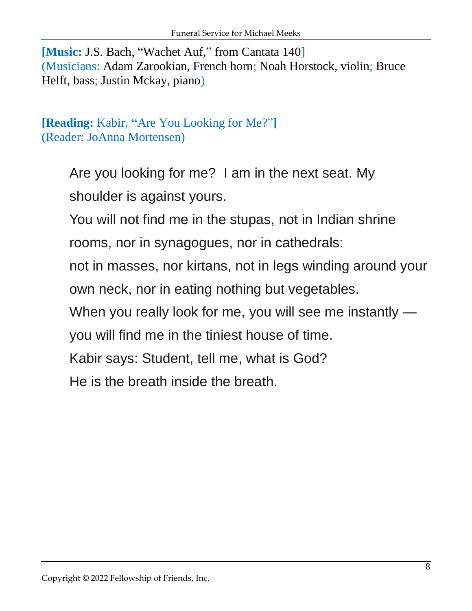**[Music:** J.S. Bach, "Wachet Auf," from Cantata 140] (Musicians: Adam Zarookian, French horn; Noah Horstock, violin; Bruce Helft, bass; Justin Mckay, piano)

# **[Reading:** Kabir, **"**Are You Looking for Me?"**]** (Reader: JoAnna Mortensen)

Are you looking for me? I am in the next seat. My shoulder is against yours.

You will not find me in the stupas, not in Indian shrine

rooms, nor in synagogues, nor in cathedrals:

not in masses, nor kirtans, not in legs winding around your own neck, nor in eating nothing but vegetables.

When you really look for me, you will see me instantly —

you will find me in the tiniest house of time.

Kabir says: Student, tell me, what is God?

He is the breath inside the breath.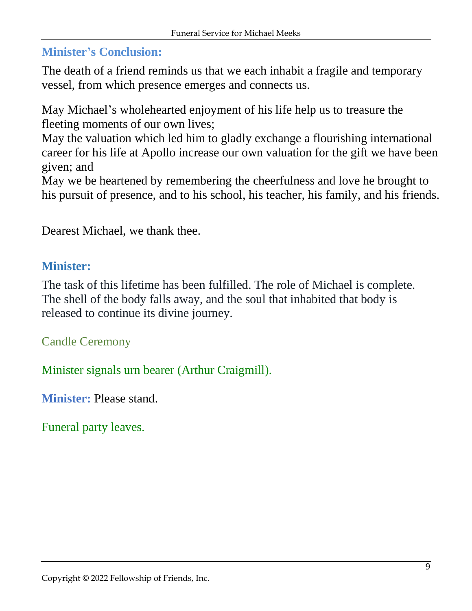# **Minister's Conclusion:**

The death of a friend reminds us that we each inhabit a fragile and temporary vessel, from which presence emerges and connects us.

May Michael's wholehearted enjoyment of his life help us to treasure the fleeting moments of our own lives; May the valuation which led him to gladly exchange a flourishing international career for his life at Apollo increase our own valuation for the gift we have been given; and

May we be heartened by remembering the cheerfulness and love he brought to his pursuit of presence, and to his school, his teacher, his family, and his friends.

Dearest Michael, we thank thee.

#### **Minister:**

The task of this lifetime has been fulfilled. The role of Michael is complete. The shell of the body falls away, and the soul that inhabited that body is released to continue its divine journey.

Candle Ceremony

Minister signals urn bearer (Arthur Craigmill).

**Minister:** Please stand.

Funeral party leaves.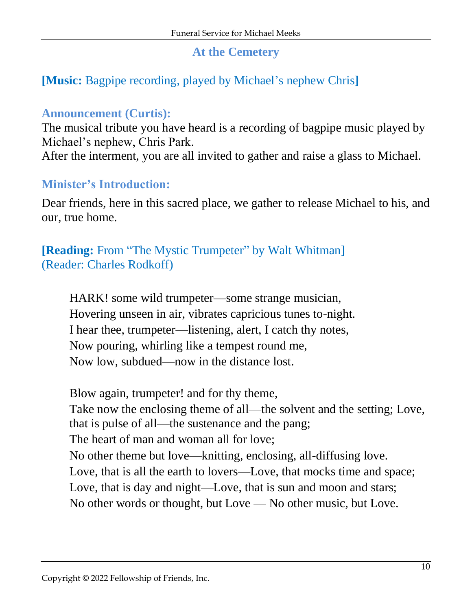### **At the Cemetery**

# **[Music:** Bagpipe recording, played by Michael's nephew Chris**]**

#### **Announcement (Curtis):**

The musical tribute you have heard is a recording of bagpipe music played by Michael's nephew, Chris Park.

After the interment, you are all invited to gather and raise a glass to Michael.

#### **Minister's Introduction:**

Dear friends, here in this sacred place, we gather to release Michael to his, and our, true home.

**[Reading:** From "The Mystic Trumpeter" by Walt Whitman] (Reader: Charles Rodkoff)

HARK! some wild trumpeter—some strange musician, Hovering unseen in air, vibrates capricious tunes to-night. I hear thee, trumpeter—listening, alert, I catch thy notes, Now pouring, whirling like a tempest round me, Now low, subdued—now in the distance lost.

Blow again, trumpeter! and for thy theme, Take now the enclosing theme of all—the solvent and the setting; Love, that is pulse of all—the sustenance and the pang; The heart of man and woman all for love; No other theme but love—knitting, enclosing, all-diffusing love. Love, that is all the earth to lovers—Love, that mocks time and space; Love, that is day and night—Love, that is sun and moon and stars; No other words or thought, but Love — No other music, but Love.